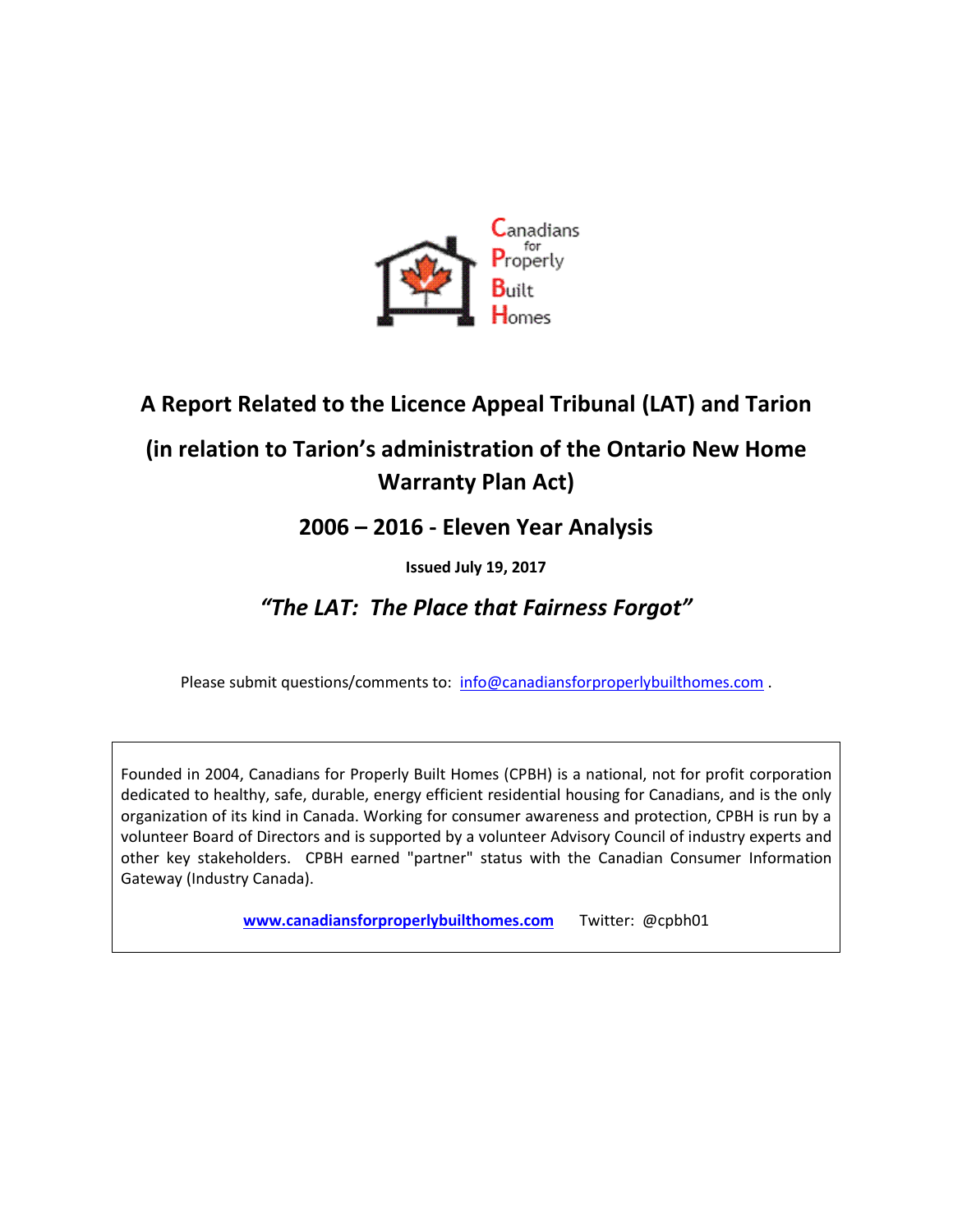

## **A Report Related to the Licence Appeal Tribunal (LAT) and Tarion**

# **(in relation to Tarion's administration of the Ontario New Home Warranty Plan Act)**

### **2006 – 2016 - Eleven Year Analysis**

#### **Issued July 19, 2017**

### *"The LAT: The Place that Fairness Forgot"*

Please submit questions/comments to: [info@canadiansforproperlybuilthomes.com](mailto:info@canadiansforproperlybuilthomes.com).

Founded in 2004, Canadians for Properly Built Homes (CPBH) is a national, not for profit corporation dedicated to healthy, safe, durable, energy efficient residential housing for Canadians, and is the only organization of its kind in Canada. Working for consumer awareness and protection, CPBH is run by a volunteer Board of Directors and is supported by a volunteer Advisory Council of industry experts and other key stakeholders. CPBH earned "partner" status with the Canadian Consumer Information Gateway (Industry Canada).

**[www.canadiansforproperlybuilthomes.com](http://www.canadiansforproperlybuilthomes.com/)** Twitter: @cpbh01